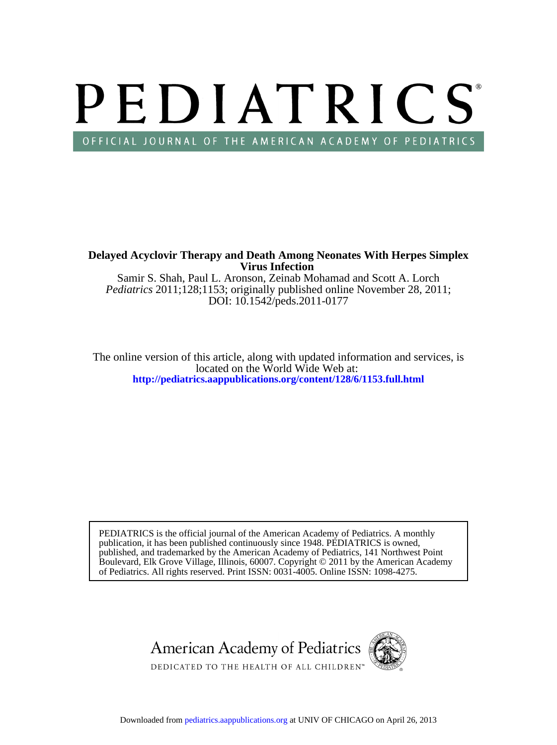# PEDIATRICS OFFICIAL JOURNAL OF THE AMERICAN ACADEMY OF PEDIATRICS

**Virus Infection Delayed Acyclovir Therapy and Death Among Neonates With Herpes Simplex**

DOI: 10.1542/peds.2011-0177 *Pediatrics* 2011;128;1153; originally published online November 28, 2011; Samir S. Shah, Paul L. Aronson, Zeinab Mohamad and Scott A. Lorch

**<http://pediatrics.aappublications.org/content/128/6/1153.full.html>** located on the World Wide Web at: The online version of this article, along with updated information and services, is

of Pediatrics. All rights reserved. Print ISSN: 0031-4005. Online ISSN: 1098-4275. Boulevard, Elk Grove Village, Illinois, 60007. Copyright © 2011 by the American Academy published, and trademarked by the American Academy of Pediatrics, 141 Northwest Point publication, it has been published continuously since 1948. PEDIATRICS is owned, PEDIATRICS is the official journal of the American Academy of Pediatrics. A monthly

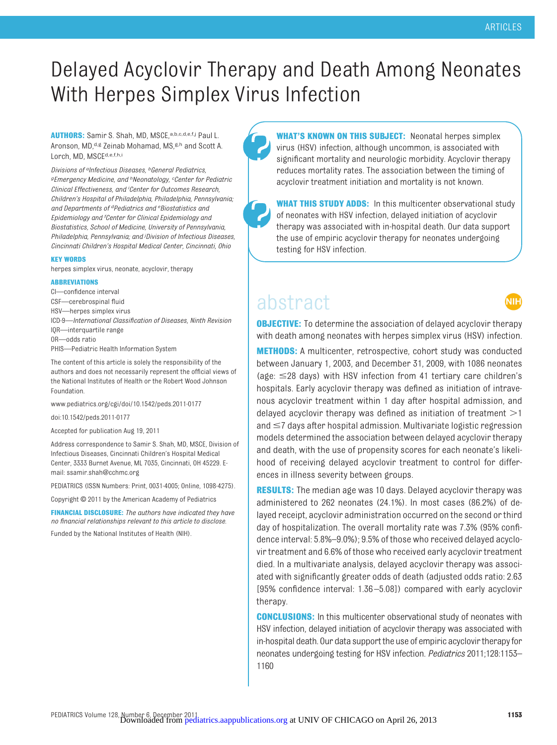## Delayed Acyclovir Therapy and Death Among Neonates With Herpes Simplex Virus Infection

**AUTHORS:** Samir S. Shah, MD, MSCE,a,b,c,d,e,f,j Paul L. Aronson, MD,<sup>d,g</sup> Zeinab Mohamad, MS,<sup>g,h</sup> and Scott A. Lorch, MD, MSCEd,e,f,h,i

*Divisions of aInfectious Diseases, bGeneral Pediatrics, gEmergency Medicine, and hNeonatology, <sup>c</sup> Center for Pediatric Clinical Effectiveness, and <sup>i</sup> Center for Outcomes Research, Children's Hospital of Philadelphia, Philadelphia, Pennsylvania; and Departments of dPediatrics and <sup>e</sup> Biostatistics and Epidemiology and <sup>f</sup> Center for Clinical Epidemiology and Biostatistics, School of Medicine, University of Pennsylvania, Philadelphia, Pennsylvania; and <sup>j</sup> Division of Infectious Diseases, Cincinnati Children's Hospital Medical Center, Cincinnati, Ohio*

#### **KEY WORDS**

herpes simplex virus, neonate, acyclovir, therapy

#### **ABBREVIATIONS**

CI—confidence interval

CSF—cerebrospinal fluid

HSV—herpes simplex virus

- ICD-9—*International Classification of Diseases, Ninth Revision*
- IQR—interquartile range
- OR—odds ratio

PHIS—Pediatric Health Information System

The content of this article is solely the responsibility of the authors and does not necessarily represent the official views of the National Institutes of Health or the Robert Wood Johnson Foundation.

www.pediatrics.org/cgi/doi/10.1542/peds.2011-0177

doi:10.1542/peds.2011-0177

Accepted for publication Aug 19, 2011

Address correspondence to Samir S. Shah, MD, MSCE, Division of Infectious Diseases, Cincinnati Children's Hospital Medical Center, 3333 Burnet Avenue, ML 7035, Cincinnati, OH 45229. Email: ssamir.shah@cchmc.org

PEDIATRICS (ISSN Numbers: Print, 0031-4005; Online, 1098-4275).

Copyright © 2011 by the American Academy of Pediatrics

**FINANCIAL DISCLOSURE:** *The authors have indicated they have no financial relationships relevant to this article to disclose.*

Funded by the National Institutes of Health (NIH).

**WHAT'S KNOWN ON THIS SUBJECT:** Neonatal herpes simplex virus (HSV) infection, although uncommon, is associated with significant mortality and neurologic morbidity. Acyclovir therapy reduces mortality rates. The association between the timing of acyclovir treatment initiation and mortality is not known.

**WHAT THIS STUDY ADDS:** In this multicenter observational study of neonates with HSV infection, delayed initiation of acyclovir therapy was associated with in-hospital death. Our data support the use of empiric acyclovir therapy for neonates undergoing testing for HSV infection.

### abstract



**OBJECTIVE:** To determine the association of delayed acyclovir therapy with death among neonates with herpes simplex virus (HSV) infection.

**METHODS:** A multicenter, retrospective, cohort study was conducted between January 1, 2003, and December 31, 2009, with 1086 neonates (age:  $\leq$ 28 days) with HSV infection from 41 tertiary care children's hospitals. Early acyclovir therapy was defined as initiation of intravenous acyclovir treatment within 1 day after hospital admission, and delayed acyclovir therapy was defined as initiation of treatment  $>1$ and  $\leq$ 7 days after hospital admission. Multivariate logistic regression models determined the association between delayed acyclovir therapy and death, with the use of propensity scores for each neonate's likelihood of receiving delayed acyclovir treatment to control for differences in illness severity between groups.

**RESULTS:** The median age was 10 days. Delayed acyclovir therapy was administered to 262 neonates (24.1%). In most cases (86.2%) of delayed receipt, acyclovir administration occurred on the second or third day of hospitalization. The overall mortality rate was 7.3% (95% confidence interval: 5.8%–9.0%); 9.5% of those who received delayed acyclovir treatment and 6.6% of those who received early acyclovir treatment died. In a multivariate analysis, delayed acyclovir therapy was associated with significantly greater odds of death (adjusted odds ratio: 2.63 [95% confidence interval: 1.36 –5.08]) compared with early acyclovir therapy.

**CONCLUSIONS:** In this multicenter observational study of neonates with HSV infection, delayed initiation of acyclovir therapy was associated with in-hospital death. Our data support the use of empiric acyclovir therapy for neonates undergoing testing for HSV infection. *Pediatrics* 2011;128:1153– 1160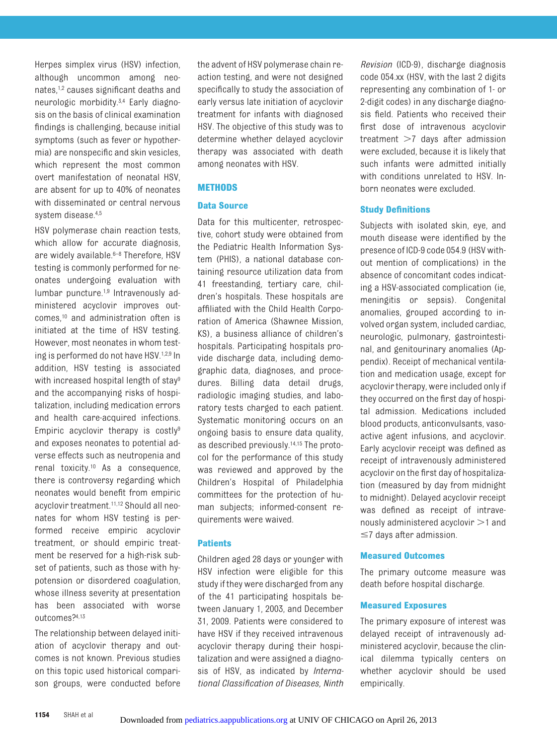Herpes simplex virus (HSV) infection, although uncommon among neo-nates,<sup>1,[2](#page-7-1)</sup> causes significant deaths and neurologic morbidity[.3,](#page-7-2)[4](#page-7-3) Early diagnosis on the basis of clinical examination findings is challenging, because initial symptoms (such as fever or hypothermia) are nonspecific and skin vesicles, which represent the most common overt manifestation of neonatal HSV, are absent for up to 40% of neonates with disseminated or central nervous system disease[.4](#page-7-3)[,5](#page-7-4)

HSV polymerase chain reaction tests, which allow for accurate diagnosis, are widely available.<sup>6-8</sup> Therefore, HSV testing is commonly performed for neonates undergoing evaluation with lumbar puncture[.1](#page-7-0)[,9](#page-7-7) Intravenously administered acyclovir improves outcomes[,10](#page-7-8) and administration often is initiated at the time of HSV testing. However, most neonates in whom test-ing is performed do not have HSV.<sup>1[,2](#page-7-1)[,9](#page-7-7)</sup> In addition, HSV testing is associated with increased hospital length of stay<sup>9</sup> and the accompanying risks of hospitalization, including medication errors and health care-acquired infections. Empiric acyclovir therapy is costly<sup>9</sup> and exposes neonates to potential adverse effects such as neutropenia and renal toxicity[.10](#page-7-8) As a consequence, there is controversy regarding which neonates would benefit from empiric acyclovir treatment.<sup>11[,12](#page-7-10)</sup> Should all neonates for whom HSV testing is performed receive empiric acyclovir treatment, or should empiric treatment be reserved for a high-risk subset of patients, such as those with hypotension or disordered coagulation, whose illness severity at presentation has been associated with worse outcomes[?4](#page-7-3)[,13](#page-7-11)

The relationship between delayed initiation of acyclovir therapy and outcomes is not known. Previous studies on this topic used historical comparison groups, were conducted before

the advent of HSV polymerase chain reaction testing, and were not designed specifically to study the association of early versus late initiation of acyclovir treatment for infants with diagnosed HSV. The objective of this study was to determine whether delayed acyclovir therapy was associated with death among neonates with HSV.

#### **METHODS**

#### **Data Source**

Data for this multicenter, retrospective, cohort study were obtained from the Pediatric Health Information System (PHIS), a national database containing resource utilization data from 41 freestanding, tertiary care, children's hospitals. These hospitals are affiliated with the Child Health Corporation of America (Shawnee Mission, KS), a business alliance of children's hospitals. Participating hospitals provide discharge data, including demographic data, diagnoses, and procedures. Billing data detail drugs, radiologic imaging studies, and laboratory tests charged to each patient. Systematic monitoring occurs on an ongoing basis to ensure data quality, as described previously[.14](#page-7-12)[,15](#page-7-13) The protocol for the performance of this study was reviewed and approved by the Children's Hospital of Philadelphia committees for the protection of human subjects; informed-consent requirements were waived.

#### **Patients**

Children aged 28 days or younger with HSV infection were eligible for this study if they were discharged from any of the 41 participating hospitals between January 1, 2003, and December 31, 2009. Patients were considered to have HSV if they received intravenous acyclovir therapy during their hospitalization and were assigned a diagnosis of HSV, as indicated by *International Classification of Diseases, Ninth*

*Revision* (ICD-9), discharge diagnosis code 054.xx (HSV, with the last 2 digits representing any combination of 1- or 2-digit codes) in any discharge diagnosis field. Patients who received their first dose of intravenous acyclovir treatment  $>7$  days after admission were excluded, because it is likely that such infants were admitted initially with conditions unrelated to HSV. Inborn neonates were excluded.

#### **Study Definitions**

Subjects with isolated skin, eye, and mouth disease were identified by the presence of ICD-9 code 054.9 (HSV without mention of complications) in the absence of concomitant codes indicating a HSV-associated complication (ie, meningitis or sepsis). Congenital anomalies, grouped according to involved organ system, included cardiac, neurologic, pulmonary, gastrointestinal, and genitourinary anomalies (Appendix). Receipt of mechanical ventilation and medication usage, except for acyclovir therapy, were included only if they occurred on the first day of hospital admission. Medications included blood products, anticonvulsants, vasoactive agent infusions, and acyclovir. Early acyclovir receipt was defined as receipt of intravenously administered acyclovir on the first day of hospitalization (measured by day from midnight to midnight). Delayed acyclovir receipt was defined as receipt of intravenously administered acyclovir  $>1$  and  $\leq$ 7 days after admission.

#### **Measured Outcomes**

The primary outcome measure was death before hospital discharge.

#### **Measured Exposures**

The primary exposure of interest was delayed receipt of intravenously administered acyclovir, because the clinical dilemma typically centers on whether acyclovir should be used empirically.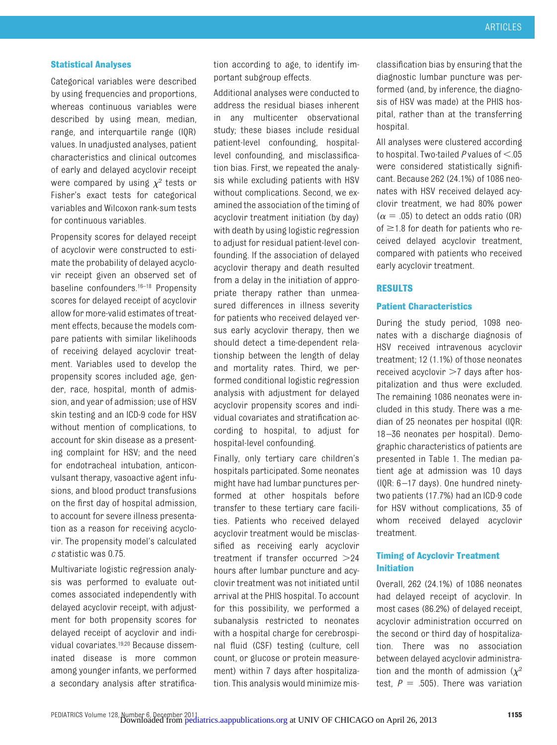#### **Statistical Analyses**

Categorical variables were described by using frequencies and proportions, whereas continuous variables were described by using mean, median, range, and interquartile range (IQR) values. In unadjusted analyses, patient characteristics and clinical outcomes of early and delayed acyclovir receipt were compared by using  $\chi^2$  tests or Fisher's exact tests for categorical variables and Wilcoxon rank-sum tests for continuous variables.

Propensity scores for delayed receipt of acyclovir were constructed to estimate the probability of delayed acyclovir receipt given an observed set of baseline confounders[.16](#page-7-14)[–18](#page-7-15) Propensity scores for delayed receipt of acyclovir allow for more-valid estimates of treatment effects, because the models compare patients with similar likelihoods of receiving delayed acyclovir treatment. Variables used to develop the propensity scores included age, gender, race, hospital, month of admission, and year of admission; use of HSV skin testing and an ICD-9 code for HSV without mention of complications, to account for skin disease as a presenting complaint for HSV; and the need for endotracheal intubation, anticonvulsant therapy, vasoactive agent infusions, and blood product transfusions on the first day of hospital admission, to account for severe illness presentation as a reason for receiving acyclovir. The propensity model's calculated *c* statistic was 0.75.

Multivariate logistic regression analysis was performed to evaluate outcomes associated independently with delayed acyclovir receipt, with adjustment for both propensity scores for delayed receipt of acyclovir and individual covariates[.19,](#page-7-16)[20](#page-7-17) Because disseminated disease is more common among younger infants, we performed a secondary analysis after stratification according to age, to identify important subgroup effects.

Additional analyses were conducted to address the residual biases inherent in any multicenter observational study; these biases include residual patient-level confounding, hospitallevel confounding, and misclassification bias. First, we repeated the analysis while excluding patients with HSV without complications. Second, we examined the association of the timing of acyclovir treatment initiation (by day) with death by using logistic regression to adjust for residual patient-level confounding. If the association of delayed acyclovir therapy and death resulted from a delay in the initiation of appropriate therapy rather than unmeasured differences in illness severity for patients who received delayed versus early acyclovir therapy, then we should detect a time-dependent relationship between the length of delay and mortality rates. Third, we performed conditional logistic regression analysis with adjustment for delayed acyclovir propensity scores and individual covariates and stratification according to hospital, to adjust for hospital-level confounding.

Finally, only tertiary care children's hospitals participated. Some neonates might have had lumbar punctures performed at other hospitals before transfer to these tertiary care facilities. Patients who received delayed acyclovir treatment would be misclassified as receiving early acyclovir treatment if transfer occurred  $>$ 24 hours after lumbar puncture and acyclovir treatment was not initiated until arrival at the PHIS hospital. To account for this possibility, we performed a subanalysis restricted to neonates with a hospital charge for cerebrospinal fluid (CSF) testing (culture, cell count, or glucose or protein measurement) within 7 days after hospitalization. This analysis would minimize misclassification bias by ensuring that the diagnostic lumbar puncture was performed (and, by inference, the diagnosis of HSV was made) at the PHIS hospital, rather than at the transferring hospital.

All analyses were clustered according to hospital. Two-tailed  $P$  values of  $\leq$  05 were considered statistically significant. Because 262 (24.1%) of 1086 neonates with HSV received delayed acyclovir treatment, we had 80% power  $(\alpha = .05)$  to detect an odds ratio (OR) of  $\geq$  1.8 for death for patients who received delayed acyclovir treatment, compared with patients who received early acyclovir treatment.

#### **RESULTS**

#### **Patient Characteristics**

During the study period, 1098 neonates with a discharge diagnosis of HSV received intravenous acyclovir treatment; 12 (1.1%) of those neonates received acyclovir  $>7$  days after hospitalization and thus were excluded. The remaining 1086 neonates were included in this study. There was a median of 25 neonates per hospital (IQR: 18 –36 neonates per hospital). Demographic characteristics of patients are presented in [Table 1.](#page-4-0) The median patient age at admission was 10 days (IQR: 6 –17 days). One hundred ninetytwo patients (17.7%) had an ICD-9 code for HSV without complications, 35 of whom received delayed acyclovir treatment.

#### **Timing of Acyclovir Treatment Initiation**

Overall, 262 (24.1%) of 1086 neonates had delayed receipt of acyclovir. In most cases (86.2%) of delayed receipt, acyclovir administration occurred on the second or third day of hospitalization. There was no association between delayed acyclovir administration and the month of admission  $(\chi^2)$ test,  $P = .505$ ). There was variation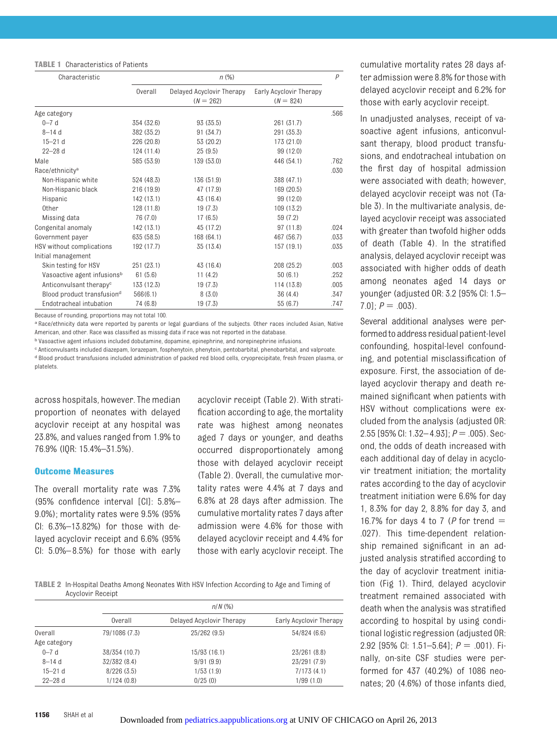#### <span id="page-4-0"></span>**TABLE 1** Characteristics of Patients

| Characteristic                          | $n$ (%)        |                                          |                                        | P    |
|-----------------------------------------|----------------|------------------------------------------|----------------------------------------|------|
|                                         | <b>Overall</b> | Delayed Acyclovir Therapy<br>$(N = 262)$ | Early Acyclovir Therapy<br>$(N = 824)$ |      |
| Age category                            |                |                                          |                                        | .566 |
| $0 - 7d$                                | 354 (32.6)     | 93 (35.5)                                | 261 (31.7)                             |      |
| $8 - 14d$                               | 382 (35.2)     | 91 (34.7)                                | 291 (35.3)                             |      |
| $15 - 21d$                              | 226 (20.8)     | 53 (20.2)                                | 173 (21.0)                             |      |
| $22 - 28$ d                             | 124 (11.4)     | 25(9.5)                                  | 99 (12.0)                              |      |
| Male                                    | 585 (53.9)     | 139 (53.0)                               | 446 (54.1)                             | .762 |
| Race/ethnicity <sup>a</sup>             |                |                                          |                                        | .030 |
| Non-Hispanic white                      | 524 (48.3)     | 136 (51.9)                               | 388 (47.1)                             |      |
| Non-Hispanic black                      | 216 (19.9)     | 47 (17.9)                                | 169 (20.5)                             |      |
| Hispanic                                | 142 (13.1)     | 43 (16.4)                                | 99 (12.0)                              |      |
| <b>Other</b>                            | 128 (11.8)     | 19(7.3)                                  | 109 (13.2)                             |      |
| Missing data                            | 76 (7.0)       | 17(6.5)                                  | 59 (7.2)                               |      |
| Congenital anomaly                      | 142 (13.1)     | 45 (17.2)                                | 97 (11.8)                              | .024 |
| Government payer                        | 635 (58.5)     | 168 (64.1)                               | 467 (56.7)                             | .033 |
| HSV without complications               | 192 (17.7)     | 35 (13.4)                                | 157 (19.1)                             | .035 |
| Initial management                      |                |                                          |                                        |      |
| Skin testing for HSV                    | 251 (23.1)     | 43 (16.4)                                | 208 (25.2)                             | .003 |
| Vasoactive agent infusions <sup>b</sup> | 61(5.6)        | 11(4.2)                                  | 50(6.1)                                | .252 |
| Anticonvulsant therapy <sup>c</sup>     | 133 (12.3)     | 19(7.3)                                  | 114 (13.8)                             | .005 |
| Blood product transfusion <sup>d</sup>  | 566(6.1)       | 8(3.0)                                   | 36 (4.4)                               | .347 |
| Endotracheal intubation                 | 74 (6.8)       | 19 (7.3)                                 | 55 (6.7)                               | .747 |

Because of rounding, proportions may not total 100.

a Race/ethnicity data were reported by parents or legal guardians of the subjects. Other races included Asian, Native American, and other. Race was classified as missing data if race was not reported in the database.

b Vasoactive agent infusions included dobutamine, dopamine, epinephrine, and norepinephrine infusions.

c Anticonvulsants included diazepam, lorazepam, fosphenytoin, phenytoin, pentobarbital, phenobarbital, and valproate. d Blood product transfusions included administration of packed red blood cells, cryoprecipitate, fresh frozen plasma, or platelets.

across hospitals, however. The median proportion of neonates with delayed acyclovir receipt at any hospital was 23.8%, and values ranged from 1.9% to 76.9% (IQR: 15.4%–31.5%).

#### **Outcome Measures**

The overall mortality rate was 7.3% (95% confidence interval [CI]: 5.8%– 9.0%); mortality rates were 9.5% (95% CI: 6.3%–13.82%) for those with delayed acyclovir receipt and 6.6% (95% CI: 5.0%– 8.5%) for those with early acyclovir receipt [\(Table 2\)](#page-4-1). With stratification according to age, the mortality rate was highest among neonates aged 7 days or younger, and deaths occurred disproportionately among those with delayed acyclovir receipt [\(Table 2\)](#page-4-1). Overall, the cumulative mortality rates were 4.4% at 7 days and 6.8% at 28 days after admission. The cumulative mortality rates 7 days after admission were 4.6% for those with delayed acyclovir receipt and 4.4% for those with early acyclovir receipt. The

<span id="page-4-1"></span>**TABLE 2** In-Hospital Deaths Among Neonates With HSV Infection According to Age and Timing of Acyclovir Receipt

|              |               | $n/N$ (%)                 |                         |
|--------------|---------------|---------------------------|-------------------------|
|              | Overall       | Delayed Acyclovir Therapy | Early Acyclovir Therapy |
| Overall      | 79/1086 (7.3) | 25/262 (9.5)              | 54/824 (6.6)            |
| Age category |               |                           |                         |
| $0 - 7d$     | 38/354 (10.7) | 15/93 (16.1)              | 23/261 (8.8)            |
| $8 - 14$ d   | 32/382 (8.4)  | 9/91(9.9)                 | 23/291 (7.9)            |
| $15 - 21$ d  | 8/226(3.5)    | 1/53(1.9)                 | 7/173(4.1)              |
| $22 - 28$ d  | 1/124(0.8)    | 0/25(0)                   | 1/99(1.0)               |

cumulative mortality rates 28 days after admission were 8.8% for those with delayed acyclovir receipt and 6.2% for those with early acyclovir receipt.

In unadjusted analyses, receipt of vasoactive agent infusions, anticonvulsant therapy, blood product transfusions, and endotracheal intubation on the first day of hospital admission were associated with death; however, delayed acyclovir receipt was not [\(Ta](#page-5-0)[ble 3\)](#page-5-0). In the multivariate analysis, delayed acyclovir receipt was associated with greater than twofold higher odds of death [\(Table 4\)](#page-5-1). In the stratified analysis, delayed acyclovir receipt was associated with higher odds of death among neonates aged 14 days or younger (adjusted OR: 3.2 [95% CI: 1.5–  $7.0$ ;  $P = .003$ ).

Several additional analyses were performedto address residual patient-level confounding, hospital-level confounding, and potential misclassification of exposure. First, the association of delayed acyclovir therapy and death remained significant when patients with HSV without complications were excluded from the analysis (adjusted OR: 2.55 [95% CI: 1.32 - 4.93];  $P = 005$ ). Second, the odds of death increased with each additional day of delay in acyclovir treatment initiation; the mortality rates according to the day of acyclovir treatment initiation were 6.6% for day 1, 8.3% for day 2, 8.8% for day 3, and 16.7% for days 4 to 7 (*P* for trend .027). This time-dependent relationship remained significant in an adjusted analysis stratified according to the day of acyclovir treatment initiation [\(Fig 1\)](#page-5-2). Third, delayed acyclovir treatment remained associated with death when the analysis was stratified according to hospital by using conditional logistic regression (adjusted OR: 2.92 [95% Cl: 1.51-5.64];  $P = 0.01$ . Finally, on-site CSF studies were performed for 437 (40.2%) of 1086 neonates; 20 (4.6%) of those infants died,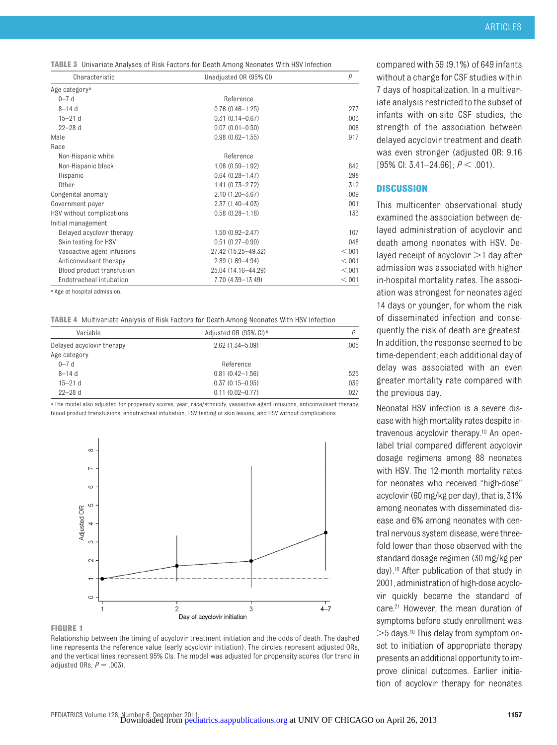<span id="page-5-0"></span>**TABLE 3** Univariate Analyses of Risk Factors for Death Among Neonates With HSV Infection

| Characteristic             | Unadjusted OR (95% CI) | $\overline{P}$ |
|----------------------------|------------------------|----------------|
| Age category <sup>a</sup>  |                        |                |
| $0 - 7d$                   | Reference              |                |
| $8 - 14d$                  | $0.76(0.46 - 1.25)$    | .277           |
| $15 - 21$ d                | $0.31(0.14 - 0.67)$    | .003           |
| $22 - 28$ d                | $0.07(0.01 - 0.50)$    | .008           |
| Male                       | $0.98(0.62 - 1.55)$    | .917           |
| Race                       |                        |                |
| Non-Hispanic white         | Reference              |                |
| Non-Hispanic black         | $1.06(0.59 - 1.92)$    | .842           |
| Hispanic                   | $0.64(0.28 - 1.47)$    | .298           |
| 0ther                      | $1.41(0.73 - 2.72)$    | .312           |
| Congenital anomaly         | $2.10(1.20 - 3.67)$    | .009           |
| Government payer           | $2.37(1.40 - 4.03)$    | .001           |
| HSV without complications  | $0.58(0.28 - 1.18)$    | .133           |
| Initial management         |                        |                |
| Delayed acyclovir therapy  | $1.50(0.92 - 2.47)$    | .107           |
| Skin testing for HSV       | $0.51(0.27 - 0.99)$    | .048           |
| Vasoactive agent infusions | 27.42 (15.25-49.32)    | < 0.01         |
| Anticonvulsant therapy     | 2.89 (1.69-4.94)       | < 0.01         |
| Blood product transfusion  | 25.04 (14.16-44.29)    | < 0.01         |
| Endotracheal intubation    | 7.70 (4.39-13.49)      | < 0.01         |
|                            |                        |                |

a Age at hospital admission.

<span id="page-5-1"></span>**TABLE 4** Multivariate Analysis of Risk Factors for Death Among Neonates With HSV Infection

| Variable                  | Adjusted OR (95% CI) <sup>a</sup> | D    |
|---------------------------|-----------------------------------|------|
| Delayed acyclovir therapy | $2.62(1.34 - 5.09)$               | .005 |
| Age category              |                                   |      |
| $0 - 7d$                  | Reference                         |      |
| $8 - 14$ d                | $0.81(0.42 - 1.56)$               | .525 |
| $15 - 21$ d               | $0.37(0.15 - 0.95)$               | .039 |
| $22 - 28$ d               | $0.11(0.02 - 0.77)$               | .027 |
|                           |                                   |      |

a The model also adjusted for propensity scores, year, race/ethnicity, vasoactive agent infusions, anticonvulsant therapy, blood product transfusions, endotracheal intubation, HSV testing of skin lesions, and HSV without complications.



#### <span id="page-5-2"></span>**FIGURE 1**

Relationship between the timing of acyclovir treatment initiation and the odds of death. The dashed line represents the reference value (early acyclovir initiation). The circles represent adjusted ORs, and the vertical lines represent 95% CIs. The model was adjusted for propensity scores (for trend in adjusted ORs,  $P = .003$ ).

compared with 59 (9.1%) of 649 infants without a charge for CSF studies within 7 days of hospitalization. In a multivariate analysis restricted to the subset of infants with on-site CSF studies, the strength of the association between delayed acyclovir treatment and death was even stronger (adjusted OR: 9.16  $[95\%$  Cl: 3.41-24.66];  $P < .001$ ).

#### **DISCUSSION**

This multicenter observational study examined the association between delayed administration of acyclovir and death among neonates with HSV. Delayed receipt of acyclovir  $>$ 1 day after admission was associated with higher in-hospital mortality rates. The association was strongest for neonates aged 14 days or younger, for whom the risk of disseminated infection and consequently the risk of death are greatest. In addition, the response seemed to be time-dependent; each additional day of delay was associated with an even greater mortality rate compared with the previous day.

Neonatal HSV infection is a severe disease with high mortality rates despite intravenous acyclovir therapy[.10](#page-7-8) An openlabel trial compared different acyclovir dosage regimens among 88 neonates with HSV. The 12-month mortality rates for neonates who received "high-dose" acyclovir (60 mg/kg per day), that is, 31% among neonates with disseminated disease and 6% among neonates with central nervous system disease, were threefold lower than those observed with the standard dosage regimen (30 mg/kg per day)[.10](#page-7-8) After publication of that study in 2001, administration of high-dose acyclovir quickly became the standard of care[.21](#page-7-18) However, the mean duration of symptoms before study enrollment was  $>$ 5 days.<sup>10</sup> This delay from symptom onset to initiation of appropriate therapy presents an additional opportunityto improve clinical outcomes. Earlier initiation of acyclovir therapy for neonates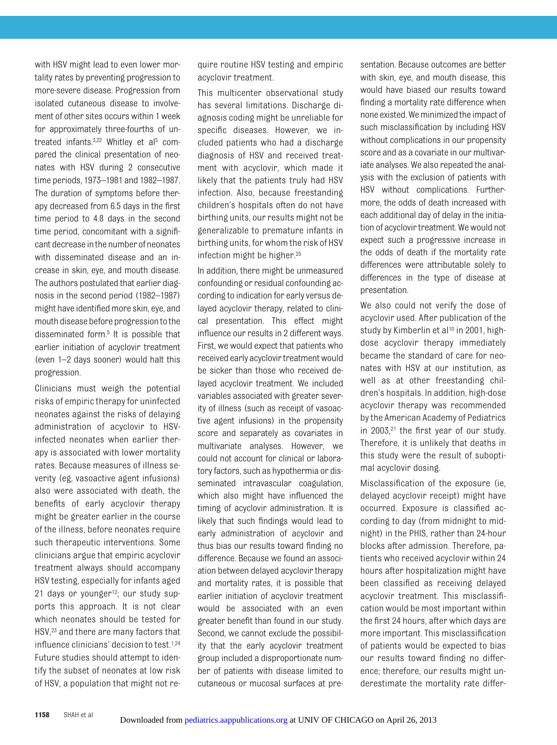with HSV might lead to even lower mortality rates by preventing progression to more-severe disease. Progression from isolated cutaneous disease to involvement of other sites occurs within 1 week for approximately three-fourths of un-treated infants.<sup>3[,22](#page-7-19)</sup> Whitley et al<sup>5</sup> compared the clinical presentation of neonates with HSV during 2 consecutive time periods, 1973–1981 and 1982–1987. The duration of symptoms before therapy decreased from 6.5 days in the first time period to 4.8 days in the second time period, concomitant with a significant decrease in the number of neonates with disseminated disease and an increase in skin, eye, and mouth disease. The authors postulated that earlier diagnosis in the second period (1982–1987) might have identified more skin, eye, and mouth disease before progression to the disseminated form.<sup>5</sup> It is possible that earlier initiation of acyclovir treatment (even 1–2 days sooner) would halt this progression.

Clinicians must weigh the potential risks of empiric therapy for uninfected neonates against the risks of delaying administration of acyclovir to HSVinfected neonates when earlier therapy is associated with lower mortality rates. Because measures of illness severity (eg, vasoactive agent infusions) also were associated with death, the benefits of early acyclovir therapy might be greater earlier in the course of the illness, before neonates require such therapeutic interventions. Some clinicians argue that empiric acyclovir treatment always should accompany HSV testing, especially for infants aged 21 days or younger<sup>12</sup>; our study supports this approach. It is not clear which neonates should be tested for HSV[,23](#page-7-20) and there are many factors that influence clinicians' decision to test[.1](#page-7-0)[,24](#page-7-21) Future studies should attempt to identify the subset of neonates at low risk of HSV, a population that might not require routine HSV testing and empiric acyclovir treatment.

This multicenter observational study has several limitations. Discharge diagnosis coding might be unreliable for specific diseases. However, we included patients who had a discharge diagnosis of HSV and received treatment with acyclovir, which made it likely that the patients truly had HSV infection. Also, because freestanding children's hospitals often do not have birthing units, our results might not be generalizable to premature infants in birthing units, for whom the risk of HSV infection might be higher[.25](#page-7-22)

In addition, there might be unmeasured confounding or residual confounding according to indication for early versus delayed acyclovir therapy, related to clinical presentation. This effect might influence our results in 2 different ways. First, we would expect that patients who received early acyclovir treatment would be sicker than those who received delayed acyclovir treatment. We included variables associated with greater severity of illness (such as receipt of vasoactive agent infusions) in the propensity score and separately as covariates in multivariate analyses. However, we could not account for clinical or laboratory factors, such as hypothermia or disseminated intravascular coagulation, which also might have influenced the timing of acyclovir administration. It is likely that such findings would lead to early administration of acyclovir and thus bias our results toward finding no difference. Because we found an association between delayed acyclovir therapy and mortality rates, it is possible that earlier initiation of acyclovir treatment would be associated with an even greater benefit than found in our study. Second, we cannot exclude the possibility that the early acyclovir treatment group included a disproportionate number of patients with disease limited to cutaneous or mucosal surfaces at presentation. Because outcomes are better with skin, eye, and mouth disease, this would have biased our results toward finding a mortality rate difference when none existed.Weminimizedthe impact of such misclassification by including HSV without complications in our propensity score and as a covariate in our multivariate analyses. We also repeated the analysis with the exclusion of patients with HSV without complications. Furthermore, the odds of death increased with each additional day of delay in the initiation of acyclovir treatment. We would not expect such a progressive increase in the odds of death if the mortality rate differences were attributable solely to differences in the type of disease at presentation.

We also could not verify the dose of acyclovir used. After publication of the study by Kimberlin et al<sup>10</sup> in 2001, highdose acyclovir therapy immediately became the standard of care for neonates with HSV at our institution, as well as at other freestanding children's hospitals. In addition, high-dose acyclovir therapy was recommended by the American Academy of Pediatrics in 2003,<sup>21</sup> the first year of our study. Therefore, it is unlikely that deaths in this study were the result of suboptimal acyclovir dosing.

Misclassification of the exposure (ie, delayed acyclovir receipt) might have occurred. Exposure is classified according to day (from midnight to midnight) in the PHIS, rather than 24-hour blocks after admission. Therefore, patients who received acyclovir within 24 hours after hospitalization might have been classified as receiving delayed acyclovir treatment. This misclassification would be most important within the first 24 hours, after which days are more important. This misclassification of patients would be expected to bias our results toward finding no difference; therefore, our results might underestimate the mortality rate differ-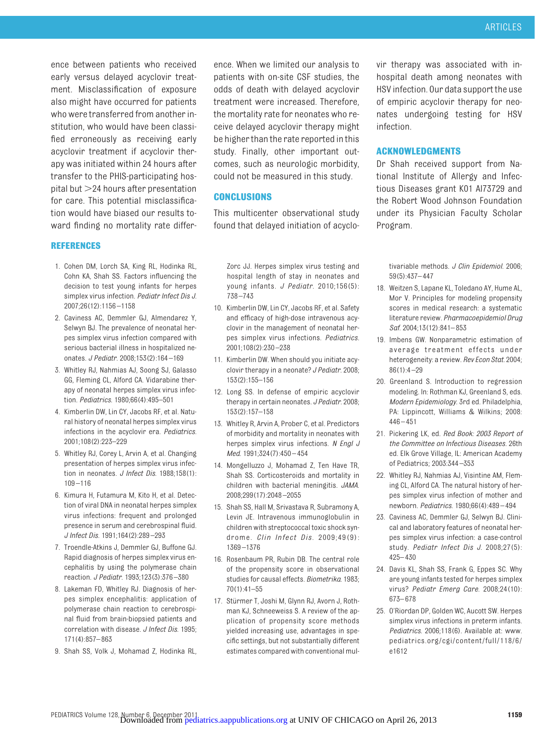ence between patients who received early versus delayed acyclovir treatment. Misclassification of exposure also might have occurred for patients who were transferred from another institution, who would have been classified erroneously as receiving early acyclovir treatment if acyclovir therapy was initiated within 24 hours after transfer to the PHIS-participating hospital but  $>$  24 hours after presentation for care. This potential misclassification would have biased our results toward finding no mortality rate differ-

#### **REFERENCES**

- <span id="page-7-0"></span>1. Cohen DM, Lorch SA, King RL, Hodinka RL, Cohn KA, Shah SS. Factors influencing the decision to test young infants for herpes simplex virus infection. *Pediatr Infect Dis J*. 2007;26(12):1156 –1158
- <span id="page-7-1"></span>2. Caviness AC, Demmler GJ, Almendarez Y, Selwyn BJ. The prevalence of neonatal herpes simplex virus infection compared with serious bacterial illness in hospitalized neonates. *J Pediatr*. 2008;153(2):164 –169
- <span id="page-7-2"></span>3. Whitley RJ, Nahmias AJ, Soong SJ, Galasso GG, Fleming CL, Alford CA. Vidarabine therapy of neonatal herpes simplex virus infection. *Pediatrics*. 1980;66(4):495–501
- <span id="page-7-3"></span>4. Kimberlin DW, Lin CY, Jacobs RF, et al. Natural history of neonatal herpes simplex virus infections in the acyclovir era. *Pediatrics*. 2001;108(2):223–229
- <span id="page-7-4"></span>5. Whitley RJ, Corey L, Arvin A, et al. Changing presentation of herpes simplex virus infection in neonates. *J Infect Dis*. 1988;158(1): 109 –116
- <span id="page-7-5"></span>6. Kimura H, Futamura M, Kito H, et al. Detection of viral DNA in neonatal herpes simplex virus infections: frequent and prolonged presence in serum and cerebrospinal fluid. *J Infect Dis*. 1991;164(2):289 –293
- 7. Troendle-Atkins J, Demmler GJ, Buffone GJ. Rapid diagnosis of herpes simplex virus encephalitis by using the polymerase chain reaction. *J Pediatr*. 1993;123(3):376 –380
- <span id="page-7-6"></span>8. Lakeman FD, Whitley RJ. Diagnosis of herpes simplex encephalitis: application of polymerase chain reaction to cerebrospinal fluid from brain-biopsied patients and correlation with disease. *J Infect Dis*. 1995; 171(4):857– 863
- <span id="page-7-7"></span>9. Shah SS, Volk J, Mohamad Z, Hodinka RL,

ence. When we limited our analysis to patients with on-site CSF studies, the odds of death with delayed acyclovir treatment were increased. Therefore, the mortality rate for neonates who receive delayed acyclovir therapy might be higher than the rate reported in this study. Finally, other important outcomes, such as neurologic morbidity, could not be measured in this study.

#### **CONCLUSIONS**

This multicenter observational study found that delayed initiation of acyclo-

Zorc JJ. Herpes simplex virus testing and hospital length of stay in neonates and young infants. *J Pediatr*. 2010;156(5): 738 –743

- <span id="page-7-8"></span>10. Kimberlin DW, Lin CY, Jacobs RF, et al. Safety and efficacy of high-dose intravenous acyclovir in the management of neonatal herpes simplex virus infections. *Pediatrics*. 2001;108(2):230 –238
- <span id="page-7-9"></span>11. Kimberlin DW. When should you initiate acyclovir therapy in a neonate? *J Pediatr*. 2008; 153(2):155–156
- <span id="page-7-10"></span>12. Long SS. In defense of empiric acyclovir therapy in certain neonates. *J Pediatr*. 2008; 153(2):157–158
- <span id="page-7-11"></span>13. Whitley R, Arvin A, Prober C, et al. Predictors of morbidity and mortality in neonates with herpes simplex virus infections. *N Engl J Med*. 1991;324(7):450 – 454
- <span id="page-7-12"></span>14. Mongelluzzo J, Mohamad Z, Ten Have TR, Shah SS. Corticosteroids and mortality in children with bacterial meningitis. *JAMA*. 2008;299(17):2048 –2055
- <span id="page-7-13"></span>15. Shah SS, Hall M, Srivastava R, Subramony A, Levin JE. Intravenous immunoglobulin in children with streptococcal toxic shock syndrome. *Clin Infect Dis*. 2009;49(9): 1369 –1376
- <span id="page-7-14"></span>16. Rosenbaum PR, Rubin DB. The central role of the propensity score in observational studies for causal effects. *Biometrika*. 1983; 70(1):41–55
- 17. Stürmer T, Joshi M, Glynn RJ, Avorn J, Rothman KJ, Schneeweiss S. A review of the application of propensity score methods yielded increasing use, advantages in specific settings, but not substantially different estimates compared with conventional mul-

vir therapy was associated with inhospital death among neonates with HSV infection. Our data support the use of empiric acyclovir therapy for neonates undergoing testing for HSV infection.

#### **ACKNOWLEDGMENTS**

Dr Shah received support from National Institute of Allergy and Infectious Diseases grant K01 AI73729 and the Robert Wood Johnson Foundation under its Physician Faculty Scholar Program.

tivariable methods. *J Clin Epidemiol*. 2006; 59(5):437– 447

- <span id="page-7-15"></span>18. Weitzen S, Lapane KL, Toledano AY, Hume AL, Mor V. Principles for modeling propensity scores in medical research: a systematic literature review. *Pharmacoepidemiol Drug Saf*. 2004;13(12):841– 853
- <span id="page-7-16"></span>19. Imbens GW. Nonparametric estimation of average treatment effects under heterogeneity: a review. *Rev Econ Stat*. 2004;  $86(1):4 - 29$
- <span id="page-7-17"></span>20. Greenland S. Introduction to regression modeling. In: Rothman KJ, Greenland S, eds. *Modern Epidemiology.* 3rd ed. Philadelphia, PA: Lippincott, Williams & Wilkins; 2008:  $446 - 451$
- <span id="page-7-18"></span>21. Pickering LK, ed. *Red Book: 2003 Report of the Committee on Infectious Diseases.* 26th ed. Elk Grove Village, IL: American Academy of Pediatrics; 2003:344 –353
- <span id="page-7-19"></span>22. Whitley RJ, Nahmias AJ, Visintine AM, Fleming CL, Alford CA. The natural history of herpes simplex virus infection of mother and newborn. *Pediatrics*. 1980;66(4):489 – 494
- <span id="page-7-20"></span>23. Caviness AC, Demmler GJ, Selwyn BJ. Clinical and laboratory features of neonatal herpes simplex virus infection: a case-control study. *Pediatr Infect Dis J*. 2008;27(5): 425– 430
- <span id="page-7-21"></span>24. Davis KL, Shah SS, Frank G, Eppes SC. Why are young infants tested for herpes simplex virus? *Pediatr Emerg Care*. 2008;24(10): 673– 678
- <span id="page-7-22"></span>25. O'Riordan DP, Golden WC, Aucott SW. Herpes simplex virus infections in preterm infants. *Pediatrics*. 2006;118(6). Available at: [www.](www.pediatrics.org/cgi/content/full/118/6/e1612) [pediatrics.org/cgi/content/full/118/6/](www.pediatrics.org/cgi/content/full/118/6/e1612) [e1612](www.pediatrics.org/cgi/content/full/118/6/e1612)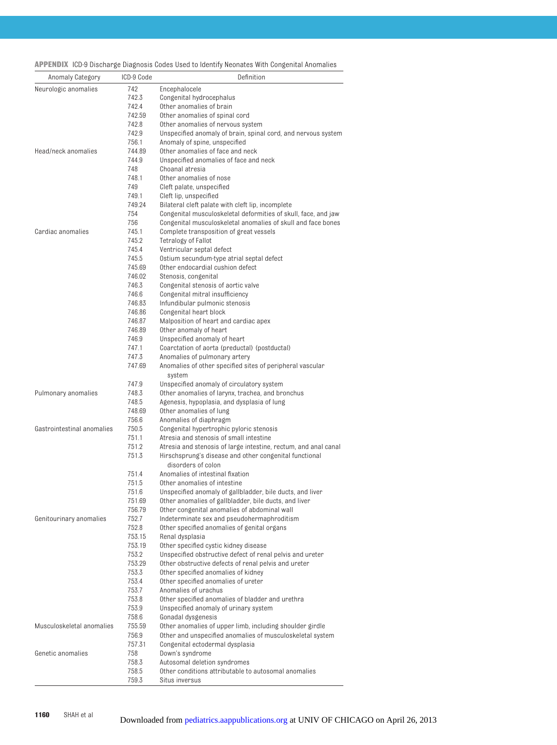#### **APPENDIX** ICD-9 Discharge Diagnosis Codes Used to Identify Neonates With Congenital Anomalies

| Anomaly Category           | ICD-9 Code     | Definition                                                                                                                |
|----------------------------|----------------|---------------------------------------------------------------------------------------------------------------------------|
| Neurologic anomalies       | 742            | Encephalocele                                                                                                             |
|                            | 742.3          | Congenital hydrocephalus                                                                                                  |
|                            | 742.4          | Other anomalies of brain                                                                                                  |
|                            | 742.59         | Other anomalies of spinal cord                                                                                            |
|                            | 742.8          | Other anomalies of nervous system                                                                                         |
|                            | 742.9          | Unspecified anomaly of brain, spinal cord, and nervous system                                                             |
|                            | 756.1          | Anomaly of spine, unspecified                                                                                             |
| Head/neck anomalies        | 744.89         | Other anomalies of face and neck                                                                                          |
|                            | 744.9          | Unspecified anomalies of face and neck                                                                                    |
|                            | 748            | Choanal atresia                                                                                                           |
|                            | 748.1          | Other anomalies of nose                                                                                                   |
|                            | 749            |                                                                                                                           |
|                            |                | Cleft palate, unspecified                                                                                                 |
|                            | 749.1          | Cleft lip, unspecified                                                                                                    |
|                            | 749.24         | Bilateral cleft palate with cleft lip, incomplete                                                                         |
|                            | 754            | Congenital musculoskeletal deformities of skull, face, and jaw                                                            |
|                            | 756            | Congenital musculoskeletal anomalies of skull and face bones                                                              |
| Cardiac anomalies          | 745.1          | Complete transposition of great vessels                                                                                   |
|                            | 745.2          | Tetralogy of Fallot                                                                                                       |
|                            | 745.4          | Ventricular septal defect                                                                                                 |
|                            | 745.5          | Ostium secundum-type atrial septal defect                                                                                 |
|                            | 745.69         | Other endocardial cushion defect                                                                                          |
|                            | 746.02         | Stenosis, congenital                                                                                                      |
|                            | 746.3          | Congenital stenosis of aortic valve                                                                                       |
|                            | 746.6          | Congenital mitral insufficiency                                                                                           |
|                            | 746.83         | Infundibular pulmonic stenosis                                                                                            |
|                            | 746.86         | Congenital heart block                                                                                                    |
|                            | 746.87         | Malposition of heart and cardiac apex                                                                                     |
|                            | 746.89         | Other anomaly of heart                                                                                                    |
|                            | 746.9          | Unspecified anomaly of heart                                                                                              |
|                            | 747.1          | Coarctation of aorta (preductal) (postductal)                                                                             |
|                            | 747.3          | Anomalies of pulmonary artery                                                                                             |
|                            | 747.69         | Anomalies of other specified sites of peripheral vascular<br>system                                                       |
|                            | 747.9          | Unspecified anomaly of circulatory system                                                                                 |
| Pulmonary anomalies        | 748.3          | Other anomalies of larynx, trachea, and bronchus                                                                          |
|                            | 748.5          | Agenesis, hypoplasia, and dysplasia of lung                                                                               |
|                            | 748.69         | Other anomalies of lung                                                                                                   |
|                            | 756.6          | Anomalies of diaphragm                                                                                                    |
| Gastrointestinal anomalies | 750.5          | Congenital hypertrophic pyloric stenosis                                                                                  |
|                            |                | Atresia and stenosis of small intestine                                                                                   |
|                            | 751.1          |                                                                                                                           |
|                            | 751.2<br>751.3 | Atresia and stenosis of large intestine, rectum, and anal canal<br>Hirschsprung's disease and other congenital functional |
|                            |                | disorders of colon                                                                                                        |
|                            | 751.4          | Anomalies of intestinal fixation                                                                                          |
|                            | 751.5          | Other anomalies of intestine                                                                                              |
|                            | 751.6          | Unspecified anomaly of gallbladder, bile ducts, and liver                                                                 |
|                            | 751.69         | Other anomalies of gallbladder, bile ducts, and liver                                                                     |
|                            | 756.79         | Other congenital anomalies of abdominal wall                                                                              |
| Genitourinary anomalies    | 752.7          | Indeterminate sex and pseudohermaphroditism                                                                               |
|                            | 752.8          | Other specified anomalies of genital organs                                                                               |
|                            | 753.15         | Renal dysplasia                                                                                                           |
|                            | 753.19         | Other specified cystic kidney disease                                                                                     |
|                            | 753.2          | Unspecified obstructive defect of renal pelvis and ureter                                                                 |
|                            | 753.29         | Other obstructive defects of renal pelvis and ureter                                                                      |
|                            | 753.3          | Other specified anomalies of kidney                                                                                       |
|                            | 753.4          | Other specified anomalies of ureter                                                                                       |
|                            | 753.7          | Anomalies of urachus                                                                                                      |
|                            | 753.8          | Other specified anomalies of bladder and urethra                                                                          |
|                            | 753.9          | Unspecified anomaly of urinary system                                                                                     |
|                            | 758.6          | Gonadal dysgenesis                                                                                                        |
| Musculoskeletal anomalies  | 755.59         | Other anomalies of upper limb, including shoulder girdle                                                                  |
|                            |                |                                                                                                                           |
|                            | 756.9          | Other and unspecified anomalies of musculoskeletal system                                                                 |
|                            | 757.31         | Congenital ectodermal dysplasia                                                                                           |
| Genetic anomalies          | 758            | Down's syndrome                                                                                                           |
|                            | 758.3          | Autosomal deletion syndromes                                                                                              |
|                            | 758.5          | Other conditions attributable to autosomal anomalies                                                                      |
|                            | 759.3          | Situs inversus                                                                                                            |